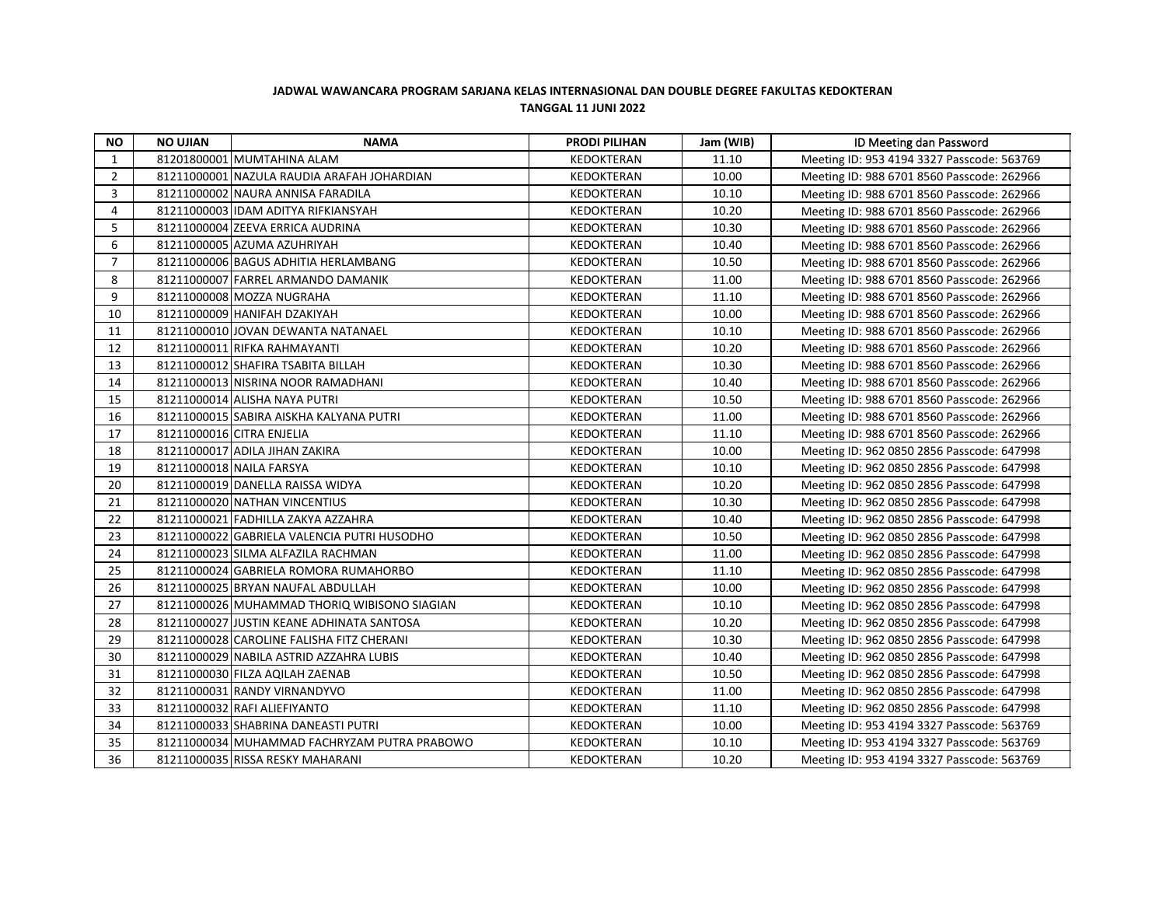## **JADWAL WAWANCARA PROGRAM SARJANA KELAS INTERNASIONAL DAN DOUBLE DEGREE FAKULTAS KEDOKTERAN TANGGAL 11 JUNI 2022**

| <b>NO</b>      | <b>NO UJIAN</b> | <b>NAMA</b>                                  | <b>PRODI PILIHAN</b> | Jam (WIB) | ID Meeting dan Password                    |
|----------------|-----------------|----------------------------------------------|----------------------|-----------|--------------------------------------------|
| 1              |                 | 81201800001 MUMTAHINA ALAM                   | <b>KEDOKTERAN</b>    | 11.10     | Meeting ID: 953 4194 3327 Passcode: 563769 |
| $\overline{2}$ |                 | 81211000001 NAZULA RAUDIA ARAFAH JOHARDIAN   | KEDOKTERAN           | 10.00     | Meeting ID: 988 6701 8560 Passcode: 262966 |
| 3              |                 | 81211000002 NAURA ANNISA FARADILA            | KEDOKTERAN           | 10.10     | Meeting ID: 988 6701 8560 Passcode: 262966 |
| 4              |                 | 81211000003 IDAM ADITYA RIFKIANSYAH          | <b>KEDOKTERAN</b>    | 10.20     | Meeting ID: 988 6701 8560 Passcode: 262966 |
| 5              |                 | 81211000004 ZEEVA ERRICA AUDRINA             | <b>KEDOKTERAN</b>    | 10.30     | Meeting ID: 988 6701 8560 Passcode: 262966 |
| 6              |                 | 81211000005 AZUMA AZUHRIYAH                  | KEDOKTERAN           | 10.40     | Meeting ID: 988 6701 8560 Passcode: 262966 |
| $\overline{7}$ |                 | 81211000006 BAGUS ADHITIA HERLAMBANG         | KEDOKTERAN           | 10.50     | Meeting ID: 988 6701 8560 Passcode: 262966 |
| 8              |                 | 81211000007 FARREL ARMANDO DAMANIK           | KEDOKTERAN           | 11.00     | Meeting ID: 988 6701 8560 Passcode: 262966 |
| 9              |                 | 81211000008 MOZZA NUGRAHA                    | KEDOKTERAN           | 11.10     | Meeting ID: 988 6701 8560 Passcode: 262966 |
| 10             |                 | 81211000009 HANIFAH DZAKIYAH                 | KEDOKTERAN           | 10.00     | Meeting ID: 988 6701 8560 Passcode: 262966 |
| 11             |                 | 81211000010 JOVAN DEWANTA NATANAEL           | KEDOKTERAN           | 10.10     | Meeting ID: 988 6701 8560 Passcode: 262966 |
| 12             |                 | 81211000011 RIFKA RAHMAYANTI                 | <b>KEDOKTERAN</b>    | 10.20     | Meeting ID: 988 6701 8560 Passcode: 262966 |
| 13             |                 | 81211000012 SHAFIRA TSABITA BILLAH           | <b>KEDOKTERAN</b>    | 10.30     | Meeting ID: 988 6701 8560 Passcode: 262966 |
| 14             |                 | 81211000013 NISRINA NOOR RAMADHANI           | KEDOKTERAN           | 10.40     | Meeting ID: 988 6701 8560 Passcode: 262966 |
| 15             |                 | 81211000014 ALISHA NAYA PUTRI                | KEDOKTERAN           | 10.50     | Meeting ID: 988 6701 8560 Passcode: 262966 |
| 16             |                 | 81211000015 SABIRA AISKHA KALYANA PUTRI      | KEDOKTERAN           | 11.00     | Meeting ID: 988 6701 8560 Passcode: 262966 |
| 17             |                 | 81211000016 CITRA ENJELIA                    | <b>KEDOKTERAN</b>    | 11.10     | Meeting ID: 988 6701 8560 Passcode: 262966 |
| 18             |                 | 81211000017 ADILA JIHAN ZAKIRA               | KEDOKTERAN           | 10.00     | Meeting ID: 962 0850 2856 Passcode: 647998 |
| 19             |                 | 81211000018 NAILA FARSYA                     | KEDOKTERAN           | 10.10     | Meeting ID: 962 0850 2856 Passcode: 647998 |
| 20             |                 | 81211000019 DANELLA RAISSA WIDYA             | KEDOKTERAN           | 10.20     | Meeting ID: 962 0850 2856 Passcode: 647998 |
| 21             |                 | 81211000020 NATHAN VINCENTIUS                | KEDOKTERAN           | 10.30     | Meeting ID: 962 0850 2856 Passcode: 647998 |
| 22             |                 | 81211000021 FADHILLA ZAKYA AZZAHRA           | KEDOKTERAN           | 10.40     | Meeting ID: 962 0850 2856 Passcode: 647998 |
| 23             |                 | 81211000022 GABRIELA VALENCIA PUTRI HUSODHO  | KEDOKTERAN           | 10.50     | Meeting ID: 962 0850 2856 Passcode: 647998 |
| 24             |                 | 81211000023 SILMA ALFAZILA RACHMAN           | KEDOKTERAN           | 11.00     | Meeting ID: 962 0850 2856 Passcode: 647998 |
| 25             |                 | 81211000024 GABRIELA ROMORA RUMAHORBO        | KEDOKTERAN           | 11.10     | Meeting ID: 962 0850 2856 Passcode: 647998 |
| 26             |                 | 81211000025 BRYAN NAUFAL ABDULLAH            | KEDOKTERAN           | 10.00     | Meeting ID: 962 0850 2856 Passcode: 647998 |
| 27             |                 | 81211000026 MUHAMMAD THORIQ WIBISONO SIAGIAN | KEDOKTERAN           | 10.10     | Meeting ID: 962 0850 2856 Passcode: 647998 |
| 28             |                 | 81211000027 JUSTIN KEANE ADHINATA SANTOSA    | KEDOKTERAN           | 10.20     | Meeting ID: 962 0850 2856 Passcode: 647998 |
| 29             |                 | 81211000028 CAROLINE FALISHA FITZ CHERANI    | KEDOKTERAN           | 10.30     | Meeting ID: 962 0850 2856 Passcode: 647998 |
| 30             |                 | 81211000029 NABILA ASTRID AZZAHRA LUBIS      | KEDOKTERAN           | 10.40     | Meeting ID: 962 0850 2856 Passcode: 647998 |
| 31             |                 | 81211000030 FILZA AQILAH ZAENAB              | KEDOKTERAN           | 10.50     | Meeting ID: 962 0850 2856 Passcode: 647998 |
| 32             |                 | 81211000031 RANDY VIRNANDYVO                 | KEDOKTERAN           | 11.00     | Meeting ID: 962 0850 2856 Passcode: 647998 |
| 33             |                 | 81211000032 RAFI ALIEFIYANTO                 | <b>KEDOKTERAN</b>    | 11.10     | Meeting ID: 962 0850 2856 Passcode: 647998 |
| 34             |                 | 81211000033 SHABRINA DANEASTI PUTRI          | KEDOKTERAN           | 10.00     | Meeting ID: 953 4194 3327 Passcode: 563769 |
| 35             |                 | 81211000034 MUHAMMAD FACHRYZAM PUTRA PRABOWO | KEDOKTERAN           | 10.10     | Meeting ID: 953 4194 3327 Passcode: 563769 |
| 36             |                 | 81211000035 RISSA RESKY MAHARANI             | KEDOKTERAN           | 10.20     | Meeting ID: 953 4194 3327 Passcode: 563769 |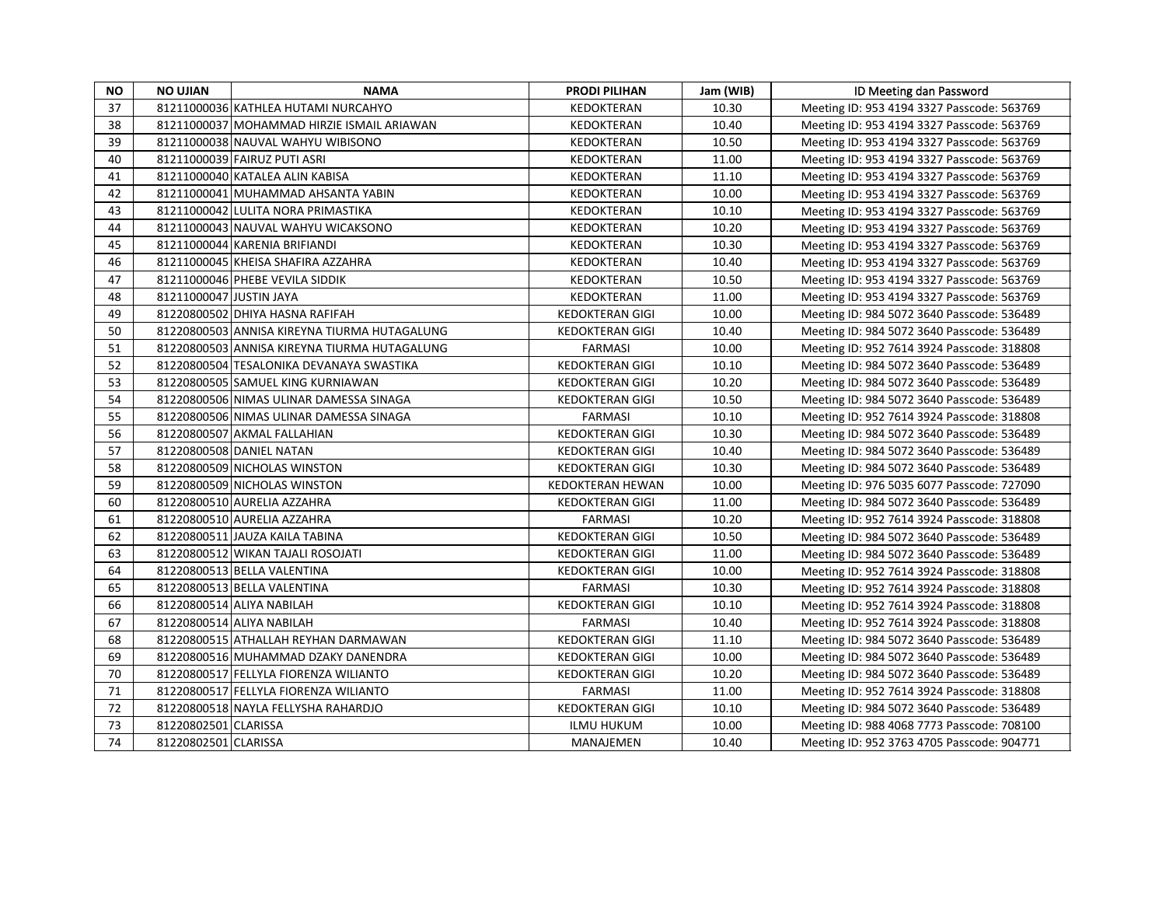| <b>NO</b> | <b>NO UJIAN</b>         | <b>NAMA</b>                                  | <b>PRODI PILIHAN</b>    | Jam (WIB) | ID Meeting dan Password                    |
|-----------|-------------------------|----------------------------------------------|-------------------------|-----------|--------------------------------------------|
| 37        |                         | 81211000036 KATHLEA HUTAMI NURCAHYO          | <b>KEDOKTERAN</b>       | 10.30     | Meeting ID: 953 4194 3327 Passcode: 563769 |
| 38        |                         | 81211000037 MOHAMMAD HIRZIE ISMAIL ARIAWAN   | <b>KEDOKTERAN</b>       | 10.40     | Meeting ID: 953 4194 3327 Passcode: 563769 |
| 39        |                         | 81211000038 NAUVAL WAHYU WIBISONO            | KEDOKTERAN              | 10.50     | Meeting ID: 953 4194 3327 Passcode: 563769 |
| 40        |                         | 81211000039 FAIRUZ PUTI ASRI                 | KEDOKTERAN              | 11.00     | Meeting ID: 953 4194 3327 Passcode: 563769 |
| 41        |                         | 81211000040 KATALEA ALIN KABISA              | <b>KEDOKTERAN</b>       | 11.10     | Meeting ID: 953 4194 3327 Passcode: 563769 |
| 42        |                         | 81211000041 MUHAMMAD AHSANTA YABIN           | KEDOKTERAN              | 10.00     | Meeting ID: 953 4194 3327 Passcode: 563769 |
| 43        |                         | 81211000042 LULITA NORA PRIMASTIKA           | KEDOKTERAN              | 10.10     | Meeting ID: 953 4194 3327 Passcode: 563769 |
| 44        |                         | 81211000043 NAUVAL WAHYU WICAKSONO           | <b>KEDOKTERAN</b>       | 10.20     | Meeting ID: 953 4194 3327 Passcode: 563769 |
| 45        |                         | 81211000044 KARENIA BRIFIANDI                | KEDOKTERAN              | 10.30     | Meeting ID: 953 4194 3327 Passcode: 563769 |
| 46        |                         | 81211000045 KHEISA SHAFIRA AZZAHRA           | KEDOKTERAN              | 10.40     | Meeting ID: 953 4194 3327 Passcode: 563769 |
| 47        |                         | 81211000046 PHEBE VEVILA SIDDIK              | <b>KEDOKTERAN</b>       | 10.50     | Meeting ID: 953 4194 3327 Passcode: 563769 |
| 48        | 81211000047 JUSTIN JAYA |                                              | KEDOKTERAN              | 11.00     | Meeting ID: 953 4194 3327 Passcode: 563769 |
| 49        |                         | 81220800502 DHIYA HASNA RAFIFAH              | <b>KEDOKTERAN GIGI</b>  | 10.00     | Meeting ID: 984 5072 3640 Passcode: 536489 |
| 50        |                         | 81220800503 ANNISA KIREYNA TIURMA HUTAGALUNG | <b>KEDOKTERAN GIGI</b>  | 10.40     | Meeting ID: 984 5072 3640 Passcode: 536489 |
| 51        |                         | 81220800503 ANNISA KIREYNA TIURMA HUTAGALUNG | <b>FARMASI</b>          | 10.00     | Meeting ID: 952 7614 3924 Passcode: 318808 |
| 52        |                         | 81220800504 TESALONIKA DEVANAYA SWASTIKA     | <b>KEDOKTERAN GIGI</b>  | 10.10     | Meeting ID: 984 5072 3640 Passcode: 536489 |
| 53        |                         | 81220800505 SAMUEL KING KURNIAWAN            | <b>KEDOKTERAN GIGI</b>  | 10.20     | Meeting ID: 984 5072 3640 Passcode: 536489 |
| 54        |                         | 81220800506 NIMAS ULINAR DAMESSA SINAGA      | <b>KEDOKTERAN GIGI</b>  | 10.50     | Meeting ID: 984 5072 3640 Passcode: 536489 |
| 55        |                         | 81220800506 NIMAS ULINAR DAMESSA SINAGA      | <b>FARMASI</b>          | 10.10     | Meeting ID: 952 7614 3924 Passcode: 318808 |
| 56        |                         | 81220800507 AKMAL FALLAHIAN                  | <b>KEDOKTERAN GIGI</b>  | 10.30     | Meeting ID: 984 5072 3640 Passcode: 536489 |
| 57        |                         | 81220800508 DANIEL NATAN                     | <b>KEDOKTERAN GIGI</b>  | 10.40     | Meeting ID: 984 5072 3640 Passcode: 536489 |
| 58        |                         | 81220800509 NICHOLAS WINSTON                 | <b>KEDOKTERAN GIGI</b>  | 10.30     | Meeting ID: 984 5072 3640 Passcode: 536489 |
| 59        |                         | 81220800509 NICHOLAS WINSTON                 | <b>KEDOKTERAN HEWAN</b> | 10.00     | Meeting ID: 976 5035 6077 Passcode: 727090 |
| 60        |                         | 81220800510 AURELIA AZZAHRA                  | <b>KEDOKTERAN GIGI</b>  | 11.00     | Meeting ID: 984 5072 3640 Passcode: 536489 |
| 61        |                         | 81220800510 AURELIA AZZAHRA                  | <b>FARMASI</b>          | 10.20     | Meeting ID: 952 7614 3924 Passcode: 318808 |
| 62        |                         | 81220800511 JAUZA KAILA TABINA               | <b>KEDOKTERAN GIGI</b>  | 10.50     | Meeting ID: 984 5072 3640 Passcode: 536489 |
| 63        |                         | 81220800512 WIKAN TAJALI ROSOJATI            | <b>KEDOKTERAN GIGI</b>  | 11.00     | Meeting ID: 984 5072 3640 Passcode: 536489 |
| 64        |                         | 81220800513 BELLA VALENTINA                  | <b>KEDOKTERAN GIGI</b>  | 10.00     | Meeting ID: 952 7614 3924 Passcode: 318808 |
| 65        |                         | 81220800513 BELLA VALENTINA                  | <b>FARMASI</b>          | 10.30     | Meeting ID: 952 7614 3924 Passcode: 318808 |
| 66        |                         | 81220800514 ALIYA NABILAH                    | <b>KEDOKTERAN GIGI</b>  | 10.10     | Meeting ID: 952 7614 3924 Passcode: 318808 |
| 67        |                         | 81220800514 ALIYA NABILAH                    | <b>FARMASI</b>          | 10.40     | Meeting ID: 952 7614 3924 Passcode: 318808 |
| 68        |                         | 81220800515 ATHALLAH REYHAN DARMAWAN         | <b>KEDOKTERAN GIGI</b>  | 11.10     | Meeting ID: 984 5072 3640 Passcode: 536489 |
| 69        |                         | 81220800516 MUHAMMAD DZAKY DANENDRA          | <b>KEDOKTERAN GIGI</b>  | 10.00     | Meeting ID: 984 5072 3640 Passcode: 536489 |
| 70        |                         | 81220800517 FELLYLA FIORENZA WILIANTO        | <b>KEDOKTERAN GIGI</b>  | 10.20     | Meeting ID: 984 5072 3640 Passcode: 536489 |
| 71        |                         | 81220800517 FELLYLA FIORENZA WILIANTO        | <b>FARMASI</b>          | 11.00     | Meeting ID: 952 7614 3924 Passcode: 318808 |
| 72        |                         | 81220800518 NAYLA FELLYSHA RAHARDJO          | <b>KEDOKTERAN GIGI</b>  | 10.10     | Meeting ID: 984 5072 3640 Passcode: 536489 |
| 73        | 81220802501 CLARISSA    |                                              | <b>ILMU HUKUM</b>       | 10.00     | Meeting ID: 988 4068 7773 Passcode: 708100 |
| 74        | 81220802501 CLARISSA    |                                              | <b>MANAJEMEN</b>        | 10.40     | Meeting ID: 952 3763 4705 Passcode: 904771 |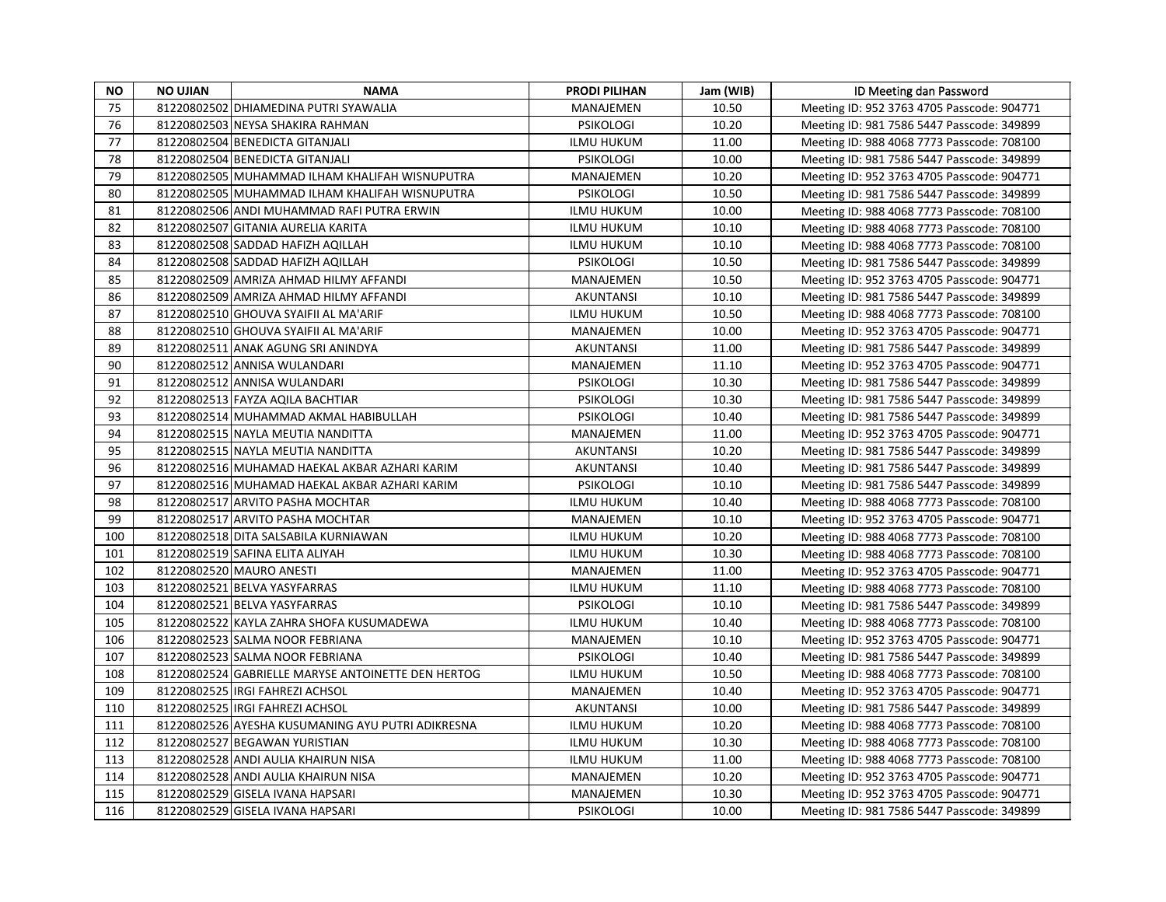| NO. | <b>NO UJIAN</b> | <b>NAMA</b>                                        | <b>PRODI PILIHAN</b> | Jam (WIB) | ID Meeting dan Password                    |
|-----|-----------------|----------------------------------------------------|----------------------|-----------|--------------------------------------------|
| 75  |                 | 81220802502 DHIAMEDINA PUTRI SYAWALIA              | MANAJEMEN            | 10.50     | Meeting ID: 952 3763 4705 Passcode: 904771 |
| 76  |                 | 81220802503 NEYSA SHAKIRA RAHMAN                   | <b>PSIKOLOGI</b>     | 10.20     | Meeting ID: 981 7586 5447 Passcode: 349899 |
| 77  |                 | 81220802504 BENEDICTA GITANJALI                    | <b>ILMU HUKUM</b>    | 11.00     | Meeting ID: 988 4068 7773 Passcode: 708100 |
| 78  |                 | 81220802504 BENEDICTA GITANJALI                    | <b>PSIKOLOGI</b>     | 10.00     | Meeting ID: 981 7586 5447 Passcode: 349899 |
| 79  |                 | 81220802505 MUHAMMAD ILHAM KHALIFAH WISNUPUTRA     | <b>MANAJEMEN</b>     | 10.20     | Meeting ID: 952 3763 4705 Passcode: 904771 |
| 80  |                 | 81220802505 MUHAMMAD ILHAM KHALIFAH WISNUPUTRA     | <b>PSIKOLOGI</b>     | 10.50     | Meeting ID: 981 7586 5447 Passcode: 349899 |
| 81  |                 | 81220802506 ANDI MUHAMMAD RAFI PUTRA ERWIN         | <b>ILMU HUKUM</b>    | 10.00     | Meeting ID: 988 4068 7773 Passcode: 708100 |
| 82  |                 | 81220802507 GITANIA AURELIA KARITA                 | <b>ILMU HUKUM</b>    | 10.10     | Meeting ID: 988 4068 7773 Passcode: 708100 |
| 83  |                 | 81220802508 SADDAD HAFIZH AQILLAH                  | <b>ILMU HUKUM</b>    | 10.10     | Meeting ID: 988 4068 7773 Passcode: 708100 |
| 84  |                 | 81220802508 SADDAD HAFIZH AQILLAH                  | <b>PSIKOLOGI</b>     | 10.50     | Meeting ID: 981 7586 5447 Passcode: 349899 |
| 85  |                 | 81220802509 AMRIZA AHMAD HILMY AFFANDI             | MANAJEMEN            | 10.50     | Meeting ID: 952 3763 4705 Passcode: 904771 |
| 86  |                 | 81220802509 AMRIZA AHMAD HILMY AFFANDI             | <b>AKUNTANSI</b>     | 10.10     | Meeting ID: 981 7586 5447 Passcode: 349899 |
| 87  |                 | 81220802510 GHOUVA SYAIFII AL MA'ARIF              | <b>ILMU HUKUM</b>    | 10.50     | Meeting ID: 988 4068 7773 Passcode: 708100 |
| 88  |                 | 81220802510 GHOUVA SYAIFII AL MA'ARIF              | MANAJEMEN            | 10.00     | Meeting ID: 952 3763 4705 Passcode: 904771 |
| 89  |                 | 81220802511 ANAK AGUNG SRI ANINDYA                 | <b>AKUNTANSI</b>     | 11.00     | Meeting ID: 981 7586 5447 Passcode: 349899 |
| 90  |                 | 81220802512 ANNISA WULANDARI                       | <b>MANAJEMEN</b>     | 11.10     | Meeting ID: 952 3763 4705 Passcode: 904771 |
| 91  |                 | 81220802512 ANNISA WULANDARI                       | <b>PSIKOLOGI</b>     | 10.30     | Meeting ID: 981 7586 5447 Passcode: 349899 |
| 92  |                 | 81220802513 FAYZA AQILA BACHTIAR                   | <b>PSIKOLOGI</b>     | 10.30     | Meeting ID: 981 7586 5447 Passcode: 349899 |
| 93  |                 | 81220802514 MUHAMMAD AKMAL HABIBULLAH              | <b>PSIKOLOGI</b>     | 10.40     | Meeting ID: 981 7586 5447 Passcode: 349899 |
| 94  |                 | 81220802515 NAYLA MEUTIA NANDITTA                  | MANAJEMEN            | 11.00     | Meeting ID: 952 3763 4705 Passcode: 904771 |
| 95  |                 | 81220802515 NAYLA MEUTIA NANDITTA                  | <b>AKUNTANSI</b>     | 10.20     | Meeting ID: 981 7586 5447 Passcode: 349899 |
| 96  |                 | 81220802516 MUHAMAD HAEKAL AKBAR AZHARI KARIM      | AKUNTANSI            | 10.40     | Meeting ID: 981 7586 5447 Passcode: 349899 |
| 97  |                 | 81220802516 MUHAMAD HAEKAL AKBAR AZHARI KARIM      | <b>PSIKOLOGI</b>     | 10.10     | Meeting ID: 981 7586 5447 Passcode: 349899 |
| 98  |                 | 81220802517 ARVITO PASHA MOCHTAR                   | <b>ILMU HUKUM</b>    | 10.40     | Meeting ID: 988 4068 7773 Passcode: 708100 |
| 99  |                 | 81220802517 ARVITO PASHA MOCHTAR                   | MANAJEMEN            | 10.10     | Meeting ID: 952 3763 4705 Passcode: 904771 |
| 100 |                 | 81220802518 DITA SALSABILA KURNIAWAN               | <b>ILMU HUKUM</b>    | 10.20     | Meeting ID: 988 4068 7773 Passcode: 708100 |
| 101 |                 | 81220802519 SAFINA ELITA ALIYAH                    | <b>ILMU HUKUM</b>    | 10.30     | Meeting ID: 988 4068 7773 Passcode: 708100 |
| 102 |                 | 81220802520 MAURO ANESTI                           | MANAJEMEN            | 11.00     | Meeting ID: 952 3763 4705 Passcode: 904771 |
| 103 |                 | 81220802521 BELVA YASYFARRAS                       | ILMU HUKUM           | 11.10     | Meeting ID: 988 4068 7773 Passcode: 708100 |
| 104 |                 | 81220802521 BELVA YASYFARRAS                       | <b>PSIKOLOGI</b>     | 10.10     | Meeting ID: 981 7586 5447 Passcode: 349899 |
| 105 |                 | 81220802522 KAYLA ZAHRA SHOFA KUSUMADEWA           | <b>ILMU HUKUM</b>    | 10.40     | Meeting ID: 988 4068 7773 Passcode: 708100 |
| 106 |                 | 81220802523 SALMA NOOR FEBRIANA                    | MANAJEMEN            | 10.10     | Meeting ID: 952 3763 4705 Passcode: 904771 |
| 107 |                 | 81220802523 SALMA NOOR FEBRIANA                    | <b>PSIKOLOGI</b>     | 10.40     | Meeting ID: 981 7586 5447 Passcode: 349899 |
| 108 |                 | 81220802524 GABRIELLE MARYSE ANTOINETTE DEN HERTOG | <b>ILMU HUKUM</b>    | 10.50     | Meeting ID: 988 4068 7773 Passcode: 708100 |
| 109 |                 | 81220802525 IRGI FAHREZI ACHSOL                    | MANAJEMEN            | 10.40     | Meeting ID: 952 3763 4705 Passcode: 904771 |
| 110 |                 | 81220802525 IRGI FAHREZI ACHSOL                    | <b>AKUNTANSI</b>     | 10.00     | Meeting ID: 981 7586 5447 Passcode: 349899 |
| 111 |                 | 81220802526 AYESHA KUSUMANING AYU PUTRI ADIKRESNA  | <b>ILMU HUKUM</b>    | 10.20     | Meeting ID: 988 4068 7773 Passcode: 708100 |
| 112 |                 | 81220802527 BEGAWAN YURISTIAN                      | <b>ILMU HUKUM</b>    | 10.30     | Meeting ID: 988 4068 7773 Passcode: 708100 |
| 113 |                 | 81220802528 ANDI AULIA KHAIRUN NISA                | <b>ILMU HUKUM</b>    | 11.00     | Meeting ID: 988 4068 7773 Passcode: 708100 |
| 114 |                 | 81220802528 ANDI AULIA KHAIRUN NISA                | MANAJEMEN            | 10.20     | Meeting ID: 952 3763 4705 Passcode: 904771 |
| 115 |                 | 81220802529 GISELA IVANA HAPSARI                   | MANAJEMEN            | 10.30     | Meeting ID: 952 3763 4705 Passcode: 904771 |
| 116 |                 | 81220802529 GISELA IVANA HAPSARI                   | <b>PSIKOLOGI</b>     | 10.00     | Meeting ID: 981 7586 5447 Passcode: 349899 |